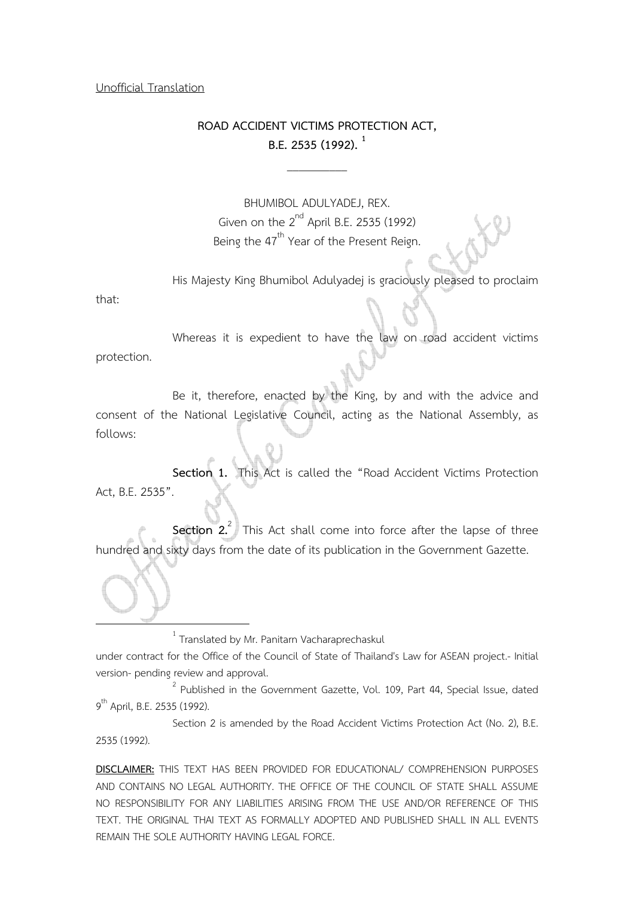#### Unofficial Translation

## **ROAD ACCIDENT VICTIMS PROTECTION ACT, B.E. 2535 (1992). <sup>1</sup>**

 $\overline{\phantom{a}}$ 

BHUMIBOL ADULYADEJ, REX. Given on the  $2^{nd}$  April B.E. 2535 (1992) Being the 47<sup>th</sup> Year of the Present Reign.

His Majesty King Bhumibol Adulyadej is graciously pleased to proclaim

that:

l.

Whereas it is expedient to have the law on road accident victims protection.

 Be it, therefore, enacted by the King, by and with the advice and consent of the National Legislative Council, acting as the National Assembly, as follows:

 **Section 1.** This Act is called the "Road Accident Victims Protection Act, B.E. 2535".

**Section 2.** This Act shall come into force after the lapse of three hundred and sixty days from the date of its publication in the Government Gazette.

 $^{1}$  Translated by Mr. Panitarn Vacharaprechaskul

under contract for the Office of the Council of State of Thailand's Law for ASEAN project.- Initial version- pending review and approval.

 $2^{2}$  Published in the Government Gazette, Vol. 109, Part 44, Special Issue, dated 9<sup>th</sup> April, B.E. 2535 (1992).

 Section 2 is amended by the Road Accident Victims Protection Act (No. 2), B.E. 2535 (1992).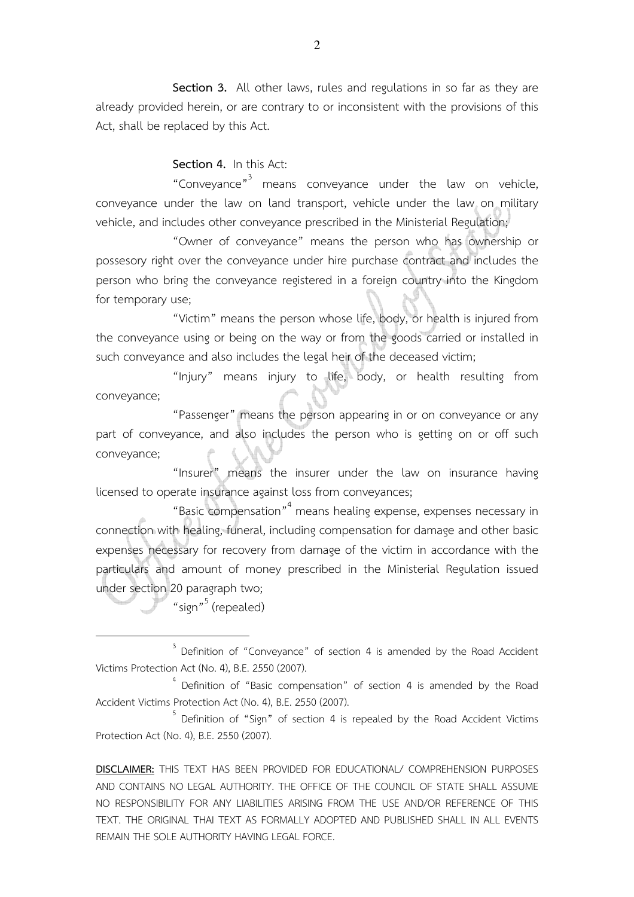**Section 3.** All other laws, rules and regulations in so far as they are already provided herein, or are contrary to or inconsistent with the provisions of this Act, shall be replaced by this Act.

**Section 4.** In this Act:

"Conveyance"<sup>3</sup> means conveyance under the law on vehicle, conveyance under the law on land transport, vehicle under the law on military vehicle, and includes other conveyance prescribed in the Ministerial Regulation;

 "Owner of conveyance" means the person who has ownership or possesory right over the conveyance under hire purchase contract and includes the person who bring the conveyance registered in a foreign country into the Kingdom for temporary use;

 "Victim" means the person whose life, body, or health is injured from the conveyance using or being on the way or from the goods carried or installed in such conveyance and also includes the legal heir of the deceased victim;

 "Injury" means injury to life, body, or health resulting from conveyance;

 "Passenger" means the person appearing in or on conveyance or any part of conveyance, and also includes the person who is getting on or off such conveyance;

 "Insurer" means the insurer under the law on insurance having licensed to operate insurance against loss from conveyances;

 "Basic compensation"<sup>4</sup> means healing expense, expenses necessary in connection with healing, funeral, including compensation for damage and other basic expenses necessary for recovery from damage of the victim in accordance with the particulars and amount of money prescribed in the Ministerial Regulation issued under section 20 paragraph two;

"sign"<sup>5</sup> (repealed)

 $\overline{a}$ 

 $3$  Definition of "Conveyance" of section 4 is amended by the Road Accident Victims Protection Act (No. 4), B.E. 2550 (2007).

<sup>&</sup>lt;sup>4</sup> Definition of "Basic compensation" of section 4 is amended by the Road Accident Victims Protection Act (No. 4), B.E. 2550 (2007).

 $5$  Definition of "Sign" of section 4 is repealed by the Road Accident Victims Protection Act (No. 4), B.E. 2550 (2007).

**DISCLAIMER:** THIS TEXT HAS BEEN PROVIDED FOR EDUCATIONAL/ COMPREHENSION PURPOSES AND CONTAINS NO LEGAL AUTHORITY. THE OFFICE OF THE COUNCIL OF STATE SHALL ASSUME NO RESPONSIBILITY FOR ANY LIABILITIES ARISING FROM THE USE AND/OR REFERENCE OF THIS TEXT. THE ORIGINAL THAI TEXT AS FORMALLY ADOPTED AND PUBLISHED SHALL IN ALL EVENTS REMAIN THE SOLE AUTHORITY HAVING LEGAL FORCE.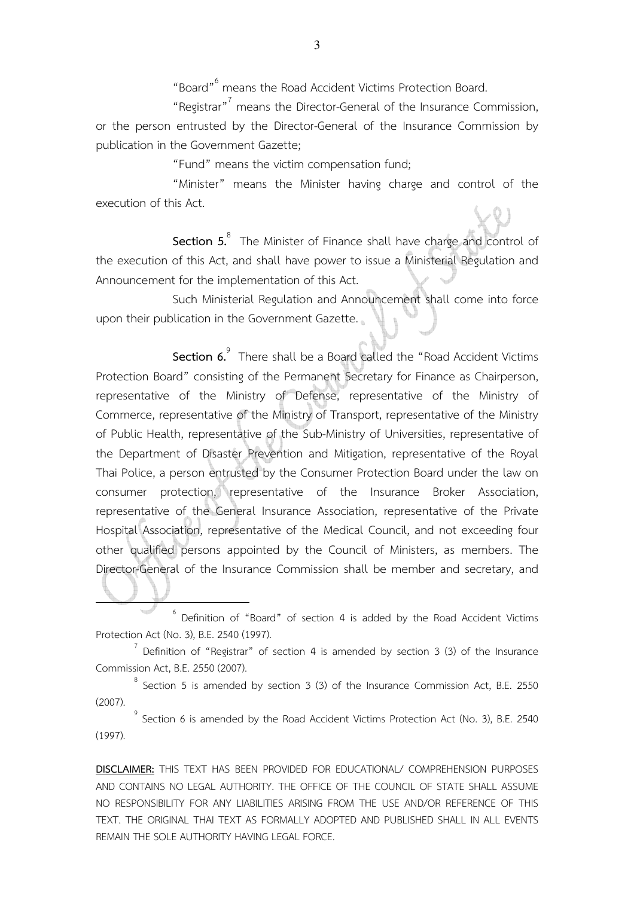"Board"<sup>6</sup> means the Road Accident Victims Protection Board.

"Registrar"<sup>7</sup> means the Director-General of the Insurance Commission, or the person entrusted by the Director-General of the Insurance Commission by publication in the Government Gazette;

"Fund" means the victim compensation fund;

"Minister" means the Minister having charge and control of the execution of this Act.

**Section 5.**<sup>8</sup> The Minister of Finance shall have charge and control of the execution of this Act, and shall have power to issue a Ministerial Regulation and Announcement for the implementation of this Act.

 Such Ministerial Regulation and Announcement shall come into force upon their publication in the Government Gazette.

**Section 6.** There shall be a Board called the "Road Accident Victims Protection Board" consisting of the Permanent Secretary for Finance as Chairperson, representative of the Ministry of Defense, representative of the Ministry of Commerce, representative of the Ministry of Transport, representative of the Ministry of Public Health, representative of the Sub-Ministry of Universities, representative of the Department of Disaster Prevention and Mitigation, representative of the Royal Thai Police, a person entrusted by the Consumer Protection Board under the law on consumer protection, representative of the Insurance Broker Association, representative of the General Insurance Association, representative of the Private Hospital Association, representative of the Medical Council, and not exceeding four other qualified persons appointed by the Council of Ministers, as members. The Director-General of the Insurance Commission shall be member and secretary, and

 $6$  Definition of "Board" of section 4 is added by the Road Accident Victims Protection Act (No. 3), B.E. 2540 (1997).

l.

 $7$  Definition of "Registrar" of section 4 is amended by section 3 (3) of the Insurance Commission Act, B.E. 2550 (2007).

 $^8$  Section 5 is amended by section 3 (3) of the Insurance Commission Act, B.E. 2550 (2007).

 $9^9$  Section 6 is amended by the Road Accident Victims Protection Act (No. 3), B.E. 2540 (1997).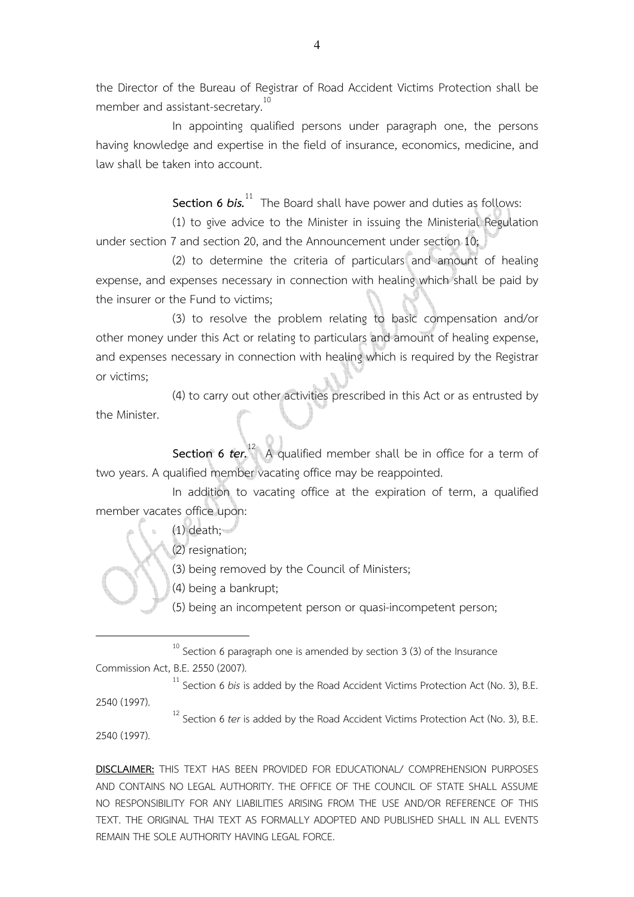the Director of the Bureau of Registrar of Road Accident Victims Protection shall be member and assistant-secretary.<sup>10</sup>

 In appointing qualified persons under paragraph one, the persons having knowledge and expertise in the field of insurance, economics, medicine, and law shall be taken into account.

**Section 6** *bis.*<sup>11</sup> The Board shall have power and duties as follows:

(1) to give advice to the Minister in issuing the Ministerial Regulation under section 7 and section 20, and the Announcement under section 10;

(2) to determine the criteria of particulars and amount of healing expense, and expenses necessary in connection with healing which shall be paid by the insurer or the Fund to victims;

(3) to resolve the problem relating to basic compensation and/or other money under this Act or relating to particulars and amount of healing expense, and expenses necessary in connection with healing which is required by the Registrar or victims;

(4) to carry out other activities prescribed in this Act or as entrusted by the Minister.

**Section 6** *ter*.<sup>12</sup> A qualified member shall be in office for a term of two years. A qualified member vacating office may be reappointed.

In addition to vacating office at the expiration of term, a qualified member vacates office upon:

(1) death;

(2) resignation;

(3) being removed by the Council of Ministers;

(4) being a bankrupt;

(5) being an incompetent person or quasi-incompetent person;

 $10<sup>10</sup>$  Section 6 paragraph one is amended by section 3 (3) of the Insurance Commission Act, B.E. 2550 (2007).

<sup>11</sup> Section 6 *bis* is added by the Road Accident Victims Protection Act (No. 3), B.E.

2540 (1997).

 $\overline{a}$ 

<sup>12</sup> Section 6 *ter* is added by the Road Accident Victims Protection Act (No. 3), B.E.

2540 (1997).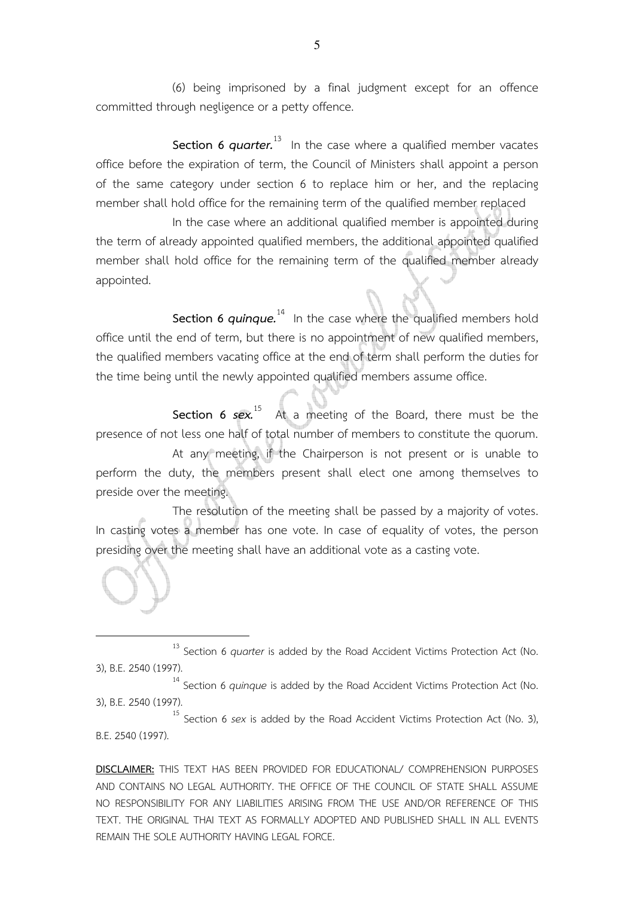(6) being imprisoned by a final judgment except for an offence committed through negligence or a petty offence.

**Section 6** *quarter.* <sup>13</sup> In the case where a qualified member vacates office before the expiration of term, the Council of Ministers shall appoint a person of the same category under section 6 to replace him or her, and the replacing member shall hold office for the remaining term of the qualified member replaced

In the case where an additional qualified member is appointed during the term of already appointed qualified members, the additional appointed qualified member shall hold office for the remaining term of the qualified member already appointed.

**Section 6** *quinque*.<sup>14</sup> In the case where the qualified members hold office until the end of term, but there is no appointment of new qualified members, the qualified members vacating office at the end of term shall perform the duties for the time being until the newly appointed qualified members assume office.

**Section 6** *sex***.**<sup>15</sup> At a meeting of the Board, there must be the presence of not less one half of total number of members to constitute the quorum.

At any meeting, if the Chairperson is not present or is unable to perform the duty, the members present shall elect one among themselves to preside over the meeting.

The resolution of the meeting shall be passed by a majority of votes. In casting votes a member has one vote. In case of equality of votes, the person presiding over the meeting shall have an additional vote as a casting vote.

<sup>13</sup> Section 6 *quarter* is added by the Road Accident Victims Protection Act (No. 3), B.E. 2540 (1997).

 $\overline{a}$ 

<sup>14</sup> Section 6 *quinque* is added by the Road Accident Victims Protection Act (No. 3), B.E. 2540 (1997).

<sup>15</sup> Section 6 *sex* is added by the Road Accident Victims Protection Act (No. 3), B.E. 2540 (1997).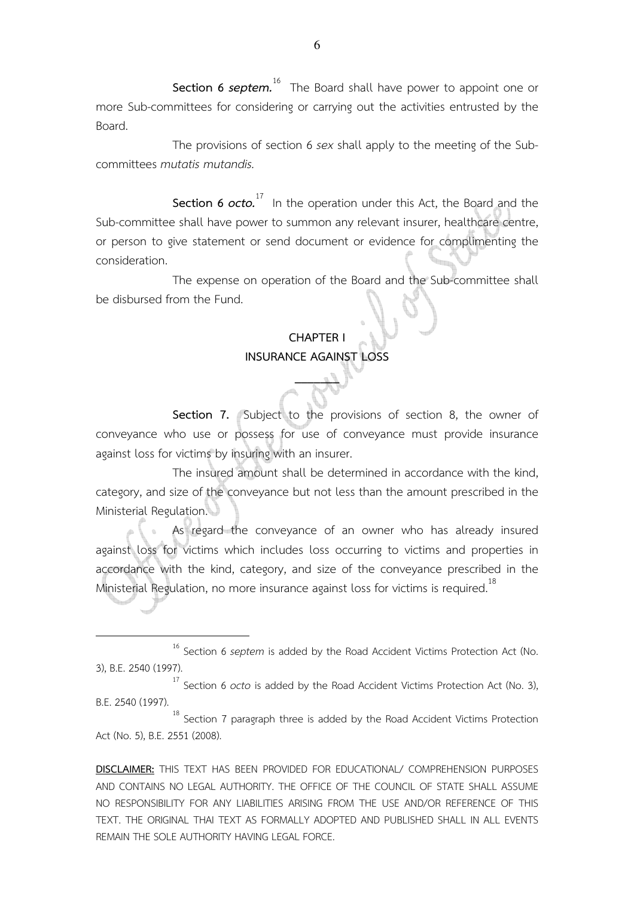**Section 6** *septem***.**<sup>16</sup> The Board shall have power to appoint one or more Sub-committees for considering or carrying out the activities entrusted by the Board.

The provisions of section 6 *sex* shall apply to the meeting of the Subcommittees *mutatis mutandis.*

**Section 6** *octo.* <sup>17</sup> In the operation under this Act, the Board and the Sub-committee shall have power to summon any relevant insurer, healthcare centre, or person to give statement or send document or evidence for complimenting the consideration.

The expense on operation of the Board and the Sub-committee shall be disbursed from the Fund.

## **CHAPTER I INSURANCE AGAINST LOSS**

 $\mathbb{Z}_2$ 

**Section 7.** Subject to the provisions of section 8, the owner of conveyance who use or possess for use of conveyance must provide insurance against loss for victims by insuring with an insurer.

 The insured amount shall be determined in accordance with the kind, category, and size of the conveyance but not less than the amount prescribed in the Ministerial Regulation.

 As regard the conveyance of an owner who has already insured against loss for victims which includes loss occurring to victims and properties in accordance with the kind, category, and size of the conveyance prescribed in the Ministerial Regulation, no more insurance against loss for victims is required.<sup>18</sup>

 $\overline{a}$ 

<sup>18</sup> Section 7 paragraph three is added by the Road Accident Victims Protection Act (No. 5), B.E. 2551 (2008).

<sup>16</sup> Section 6 *septem* is added by the Road Accident Victims Protection Act (No. 3), B.E. 2540 (1997).

<sup>17</sup> Section 6 *octo* is added by the Road Accident Victims Protection Act (No. 3), B.E. 2540 (1997).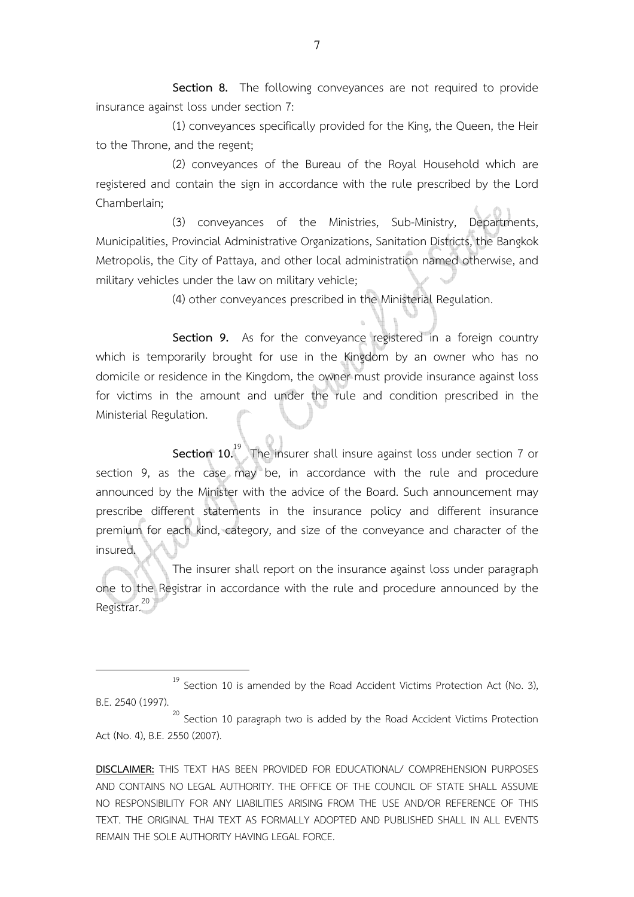**Section 8.** The following conveyances are not required to provide insurance against loss under section 7:

(1) conveyances specifically provided for the King, the Queen, the Heir to the Throne, and the regent;

(2) conveyances of the Bureau of the Royal Household which are registered and contain the sign in accordance with the rule prescribed by the Lord Chamberlain;

(3) conveyances of the Ministries, Sub-Ministry, Departments, Municipalities, Provincial Administrative Organizations, Sanitation Districts, the Bangkok Metropolis, the City of Pattaya, and other local administration named otherwise, and military vehicles under the law on military vehicle;

(4) other conveyances prescribed in the Ministerial Regulation.

**Section 9.** As for the conveyance registered in a foreign country which is temporarily brought for use in the Kingdom by an owner who has no domicile or residence in the Kingdom, the owner must provide insurance against loss for victims in the amount and under the rule and condition prescribed in the Ministerial Regulation.

Section 10.<sup>19</sup> The insurer shall insure against loss under section 7 or section 9, as the case may be, in accordance with the rule and procedure announced by the Minister with the advice of the Board. Such announcement may prescribe different statements in the insurance policy and different insurance premium for each kind, category, and size of the conveyance and character of the insured.

The insurer shall report on the insurance against loss under paragraph one to the Registrar in accordance with the rule and procedure announced by the Registrar.<sup>20</sup>

 $19$  Section 10 is amended by the Road Accident Victims Protection Act (No. 3), B.E. 2540 (1997).

l.

 $20$  Section 10 paragraph two is added by the Road Accident Victims Protection Act (No. 4), B.E. 2550 (2007).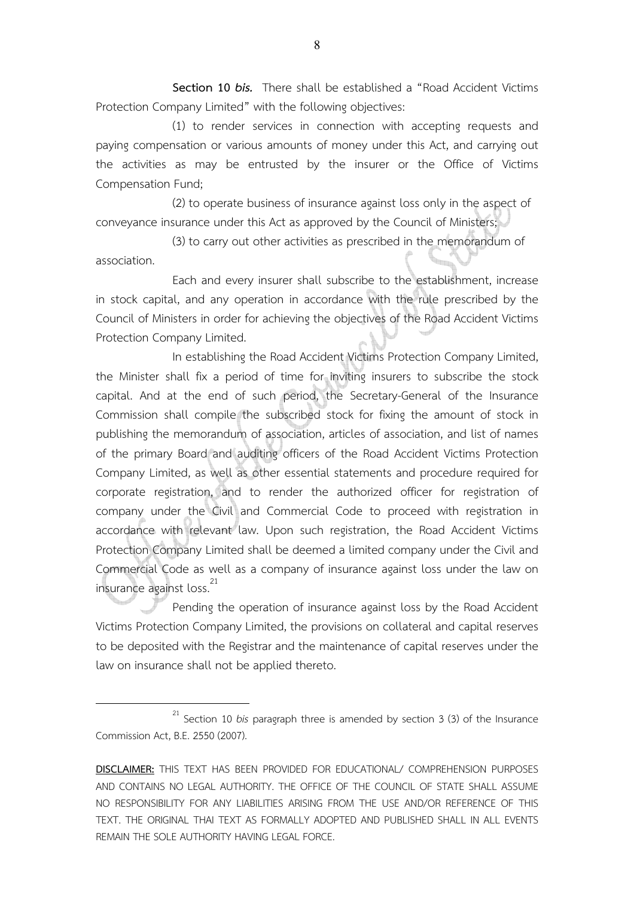**Section 10** *bis.* There shall be established a "Road Accident Victims Protection Company Limited" with the following objectives:

(1) to render services in connection with accepting requests and paying compensation or various amounts of money under this Act, and carrying out the activities as may be entrusted by the insurer or the Office of Victims Compensation Fund;

(2) to operate business of insurance against loss only in the aspect of conveyance insurance under this Act as approved by the Council of Ministers;

(3) to carry out other activities as prescribed in the memorandum of association.

 Each and every insurer shall subscribe to the establishment, increase in stock capital, and any operation in accordance with the rule prescribed by the Council of Ministers in order for achieving the objectives of the Road Accident Victims Protection Company Limited.

In establishing the Road Accident Victims Protection Company Limited, the Minister shall fix a period of time for inviting insurers to subscribe the stock capital. And at the end of such period, the Secretary-General of the Insurance Commission shall compile the subscribed stock for fixing the amount of stock in publishing the memorandum of association, articles of association, and list of names of the primary Board and auditing officers of the Road Accident Victims Protection Company Limited, as well as other essential statements and procedure required for corporate registration, and to render the authorized officer for registration of company under the Civil and Commercial Code to proceed with registration in accordance with relevant law. Upon such registration, the Road Accident Victims Protection Company Limited shall be deemed a limited company under the Civil and Commercial Code as well as a company of insurance against loss under the law on insurance against loss.<sup>21</sup>

Pending the operation of insurance against loss by the Road Accident Victims Protection Company Limited, the provisions on collateral and capital reserves to be deposited with the Registrar and the maintenance of capital reserves under the law on insurance shall not be applied thereto.

<sup>21</sup> Section 10 *bis* paragraph three is amended by section 3 (3) of the Insurance Commission Act, B.E. 2550 (2007).

**DISCLAIMER:** THIS TEXT HAS BEEN PROVIDED FOR EDUCATIONAL/ COMPREHENSION PURPOSES AND CONTAINS NO LEGAL AUTHORITY. THE OFFICE OF THE COUNCIL OF STATE SHALL ASSUME NO RESPONSIBILITY FOR ANY LIABILITIES ARISING FROM THE USE AND/OR REFERENCE OF THIS TEXT. THE ORIGINAL THAI TEXT AS FORMALLY ADOPTED AND PUBLISHED SHALL IN ALL EVENTS REMAIN THE SOLE AUTHORITY HAVING LEGAL FORCE.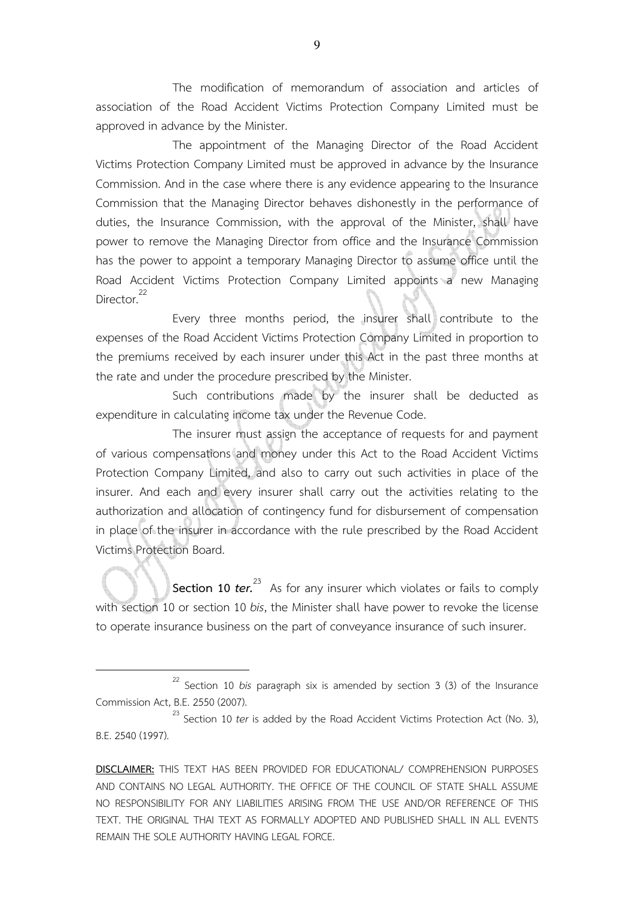The modification of memorandum of association and articles of association of the Road Accident Victims Protection Company Limited must be approved in advance by the Minister.

The appointment of the Managing Director of the Road Accident Victims Protection Company Limited must be approved in advance by the Insurance Commission. And in the case where there is any evidence appearing to the Insurance Commission that the Managing Director behaves dishonestly in the performance of duties, the Insurance Commission, with the approval of the Minister, shall have power to remove the Managing Director from office and the Insurance Commission has the power to appoint a temporary Managing Director to assume office until the Road Accident Victims Protection Company Limited appoints a new Managing Director.<sup>22</sup>

 Every three months period, the insurer shall contribute to the expenses of the Road Accident Victims Protection Company Limited in proportion to the premiums received by each insurer under this Act in the past three months at the rate and under the procedure prescribed by the Minister.

 Such contributions made by the insurer shall be deducted as expenditure in calculating income tax under the Revenue Code.

 The insurer must assign the acceptance of requests for and payment of various compensations and money under this Act to the Road Accident Victims Protection Company Limited, and also to carry out such activities in place of the insurer. And each and every insurer shall carry out the activities relating to the authorization and allocation of contingency fund for disbursement of compensation in place of the insurer in accordance with the rule prescribed by the Road Accident Victims Protection Board.

**Section 10** *ter.* As for any insurer which violates or fails to comply with section 10 or section 10 *bis*, the Minister shall have power to revoke the license to operate insurance business on the part of conveyance insurance of such insurer.

<sup>22</sup> Section 10 *bis* paragraph six is amended by section 3 (3) of the Insurance Commission Act, B.E. 2550 (2007).

<sup>&</sup>lt;sup>23</sup> Section 10 *ter* is added by the Road Accident Victims Protection Act (No. 3), B.E. 2540 (1997).

**DISCLAIMER:** THIS TEXT HAS BEEN PROVIDED FOR EDUCATIONAL/ COMPREHENSION PURPOSES AND CONTAINS NO LEGAL AUTHORITY. THE OFFICE OF THE COUNCIL OF STATE SHALL ASSUME NO RESPONSIBILITY FOR ANY LIABILITIES ARISING FROM THE USE AND/OR REFERENCE OF THIS TEXT. THE ORIGINAL THAI TEXT AS FORMALLY ADOPTED AND PUBLISHED SHALL IN ALL EVENTS REMAIN THE SOLE AUTHORITY HAVING LEGAL FORCE.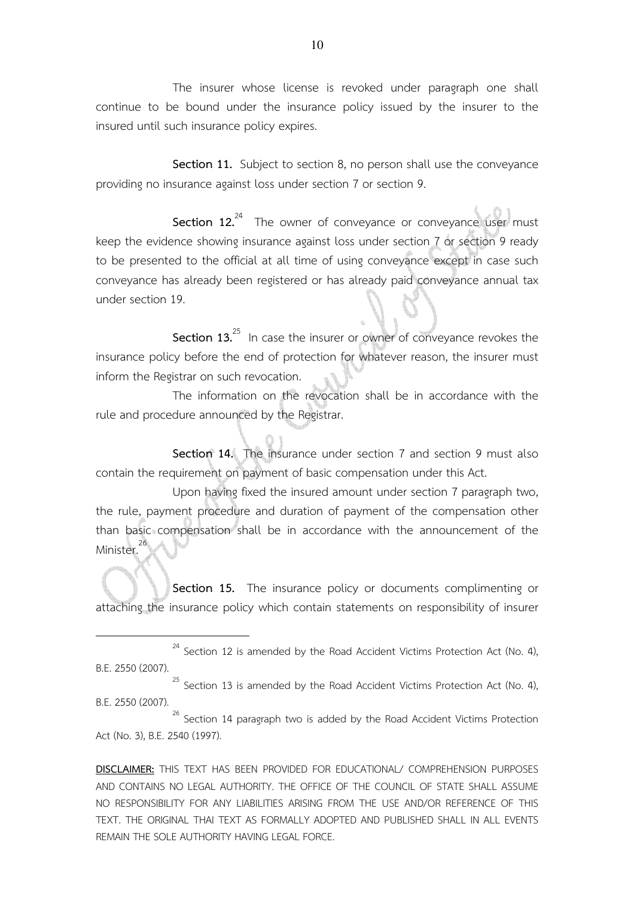The insurer whose license is revoked under paragraph one shall continue to be bound under the insurance policy issued by the insurer to the insured until such insurance policy expires.

 **Section 11.** Subject to section 8, no person shall use the conveyance providing no insurance against loss under section 7 or section 9.

Section 12.<sup>24</sup> The owner of conveyance or conveyance user must keep the evidence showing insurance against loss under section 7 or section 9 ready to be presented to the official at all time of using conveyance except in case such conveyance has already been registered or has already paid conveyance annual tax under section 19.

**Section 13.**<sup>25</sup> In case the insurer or owner of conveyance revokes the insurance policy before the end of protection for whatever reason, the insurer must inform the Registrar on such revocation.

 The information on the revocation shall be in accordance with the rule and procedure announced by the Registrar.

 **Section 14.** The insurance under section 7 and section 9 must also contain the requirement on payment of basic compensation under this Act.

 Upon having fixed the insured amount under section 7 paragraph two, the rule, payment procedure and duration of payment of the compensation other than basic compensation shall be in accordance with the announcement of the Minister.<sup>2</sup> j

 **Section 15.** The insurance policy or documents complimenting or attaching the insurance policy which contain statements on responsibility of insurer

 $\overline{a}$ 

 $24$  Section 12 is amended by the Road Accident Victims Protection Act (No. 4), B.E. 2550 (2007).

 $25$  Section 13 is amended by the Road Accident Victims Protection Act (No. 4), B.E. 2550 (2007).

 $26$  Section 14 paragraph two is added by the Road Accident Victims Protection Act (No. 3), B.E. 2540 (1997).

**DISCLAIMER:** THIS TEXT HAS BEEN PROVIDED FOR EDUCATIONAL/ COMPREHENSION PURPOSES AND CONTAINS NO LEGAL AUTHORITY. THE OFFICE OF THE COUNCIL OF STATE SHALL ASSUME NO RESPONSIBILITY FOR ANY LIABILITIES ARISING FROM THE USE AND/OR REFERENCE OF THIS TEXT. THE ORIGINAL THAI TEXT AS FORMALLY ADOPTED AND PUBLISHED SHALL IN ALL EVENTS REMAIN THE SOLE AUTHORITY HAVING LEGAL FORCE.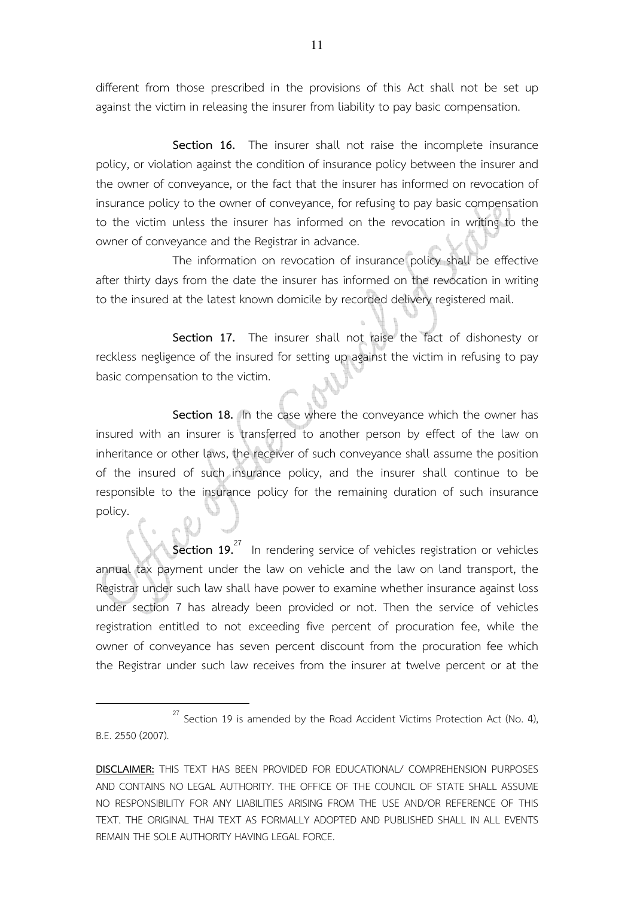different from those prescribed in the provisions of this Act shall not be set up against the victim in releasing the insurer from liability to pay basic compensation.

Section 16. The insurer shall not raise the incomplete insurance policy, or violation against the condition of insurance policy between the insurer and the owner of conveyance, or the fact that the insurer has informed on revocation of insurance policy to the owner of conveyance, for refusing to pay basic compensation to the victim unless the insurer has informed on the revocation in writing to the owner of conveyance and the Registrar in advance.

 The information on revocation of insurance policy shall be effective after thirty days from the date the insurer has informed on the revocation in writing to the insured at the latest known domicile by recorded delivery registered mail.

 **Section 17.** The insurer shall not raise the fact of dishonesty or reckless negligence of the insured for setting up against the victim in refusing to pay basic compensation to the victim.

 **Section 18.** In the case where the conveyance which the owner has insured with an insurer is transferred to another person by effect of the law on inheritance or other laws, the receiver of such conveyance shall assume the position of the insured of such insurance policy, and the insurer shall continue to be responsible to the insurance policy for the remaining duration of such insurance policy.

**Section 19.**<sup>27</sup> In rendering service of vehicles registration or vehicles annual tax payment under the law on vehicle and the law on land transport, the Registrar under such law shall have power to examine whether insurance against loss under section 7 has already been provided or not. Then the service of vehicles registration entitled to not exceeding five percent of procuration fee, while the owner of conveyance has seven percent discount from the procuration fee which the Registrar under such law receives from the insurer at twelve percent or at the

 $27$  Section 19 is amended by the Road Accident Victims Protection Act (No. 4), B.E. 2550 (2007).

**DISCLAIMER:** THIS TEXT HAS BEEN PROVIDED FOR EDUCATIONAL/ COMPREHENSION PURPOSES AND CONTAINS NO LEGAL AUTHORITY. THE OFFICE OF THE COUNCIL OF STATE SHALL ASSUME NO RESPONSIBILITY FOR ANY LIABILITIES ARISING FROM THE USE AND/OR REFERENCE OF THIS TEXT. THE ORIGINAL THAI TEXT AS FORMALLY ADOPTED AND PUBLISHED SHALL IN ALL EVENTS REMAIN THE SOLE AUTHORITY HAVING LEGAL FORCE.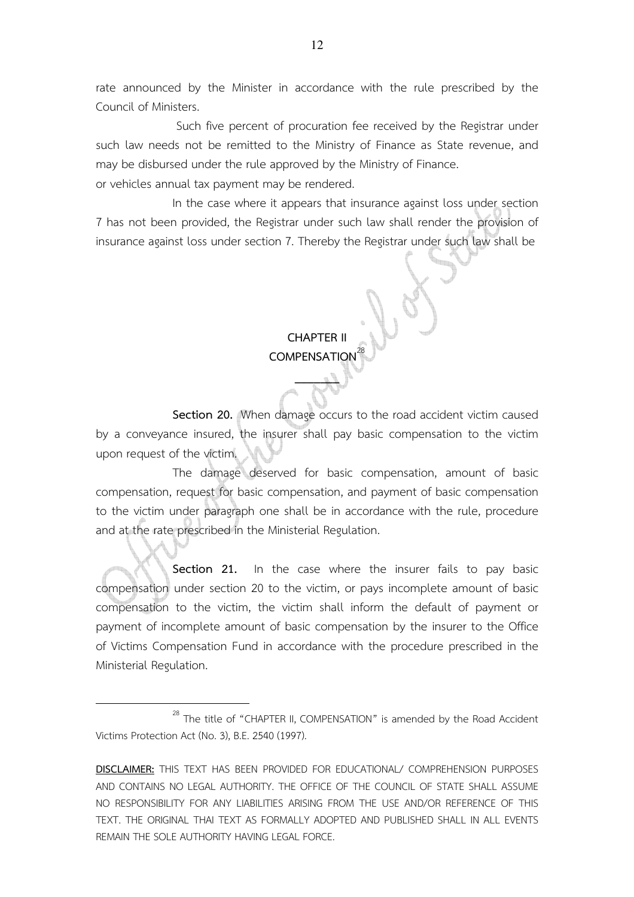rate announced by the Minister in accordance with the rule prescribed by the Council of Ministers.

 Such five percent of procuration fee received by the Registrar under such law needs not be remitted to the Ministry of Finance as State revenue, and may be disbursed under the rule approved by the Ministry of Finance.

or vehicles annual tax payment may be rendered.

 In the case where it appears that insurance against loss under section 7 has not been provided, the Registrar under such law shall render the provision of insurance against loss under section 7. Thereby the Registrar under such law shall be

## **CHAPTER II COMPENSATION**

 $\mathbb{Z}_2$ 

 **Section 20.** When damage occurs to the road accident victim caused by a conveyance insured, the insurer shall pay basic compensation to the victim upon request of the victim.

 The damage deserved for basic compensation, amount of basic compensation, request for basic compensation, and payment of basic compensation to the victim under paragraph one shall be in accordance with the rule, procedure and at the rate prescribed in the Ministerial Regulation.

**Section 21.** In the case where the insurer fails to pay basic compensation under section 20 to the victim, or pays incomplete amount of basic compensation to the victim, the victim shall inform the default of payment or payment of incomplete amount of basic compensation by the insurer to the Office of Victims Compensation Fund in accordance with the procedure prescribed in the Ministerial Regulation.

 $28$  The title of "CHAPTER II, COMPENSATION" is amended by the Road Accident Victims Protection Act (No. 3), B.E. 2540 (1997).

**DISCLAIMER:** THIS TEXT HAS BEEN PROVIDED FOR EDUCATIONAL/ COMPREHENSION PURPOSES AND CONTAINS NO LEGAL AUTHORITY. THE OFFICE OF THE COUNCIL OF STATE SHALL ASSUME NO RESPONSIBILITY FOR ANY LIABILITIES ARISING FROM THE USE AND/OR REFERENCE OF THIS TEXT. THE ORIGINAL THAI TEXT AS FORMALLY ADOPTED AND PUBLISHED SHALL IN ALL EVENTS REMAIN THE SOLE AUTHORITY HAVING LEGAL FORCE.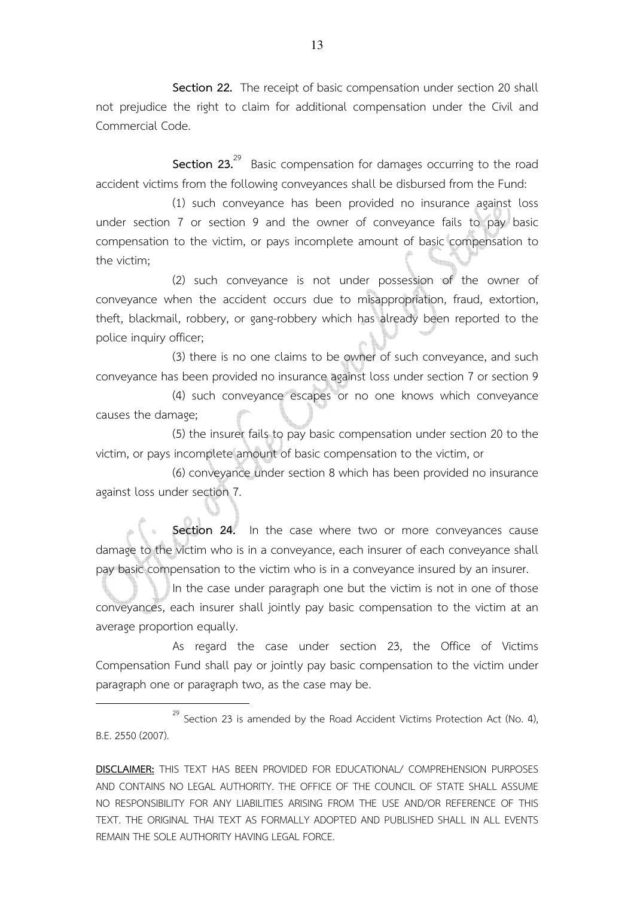**Section 22.** The receipt of basic compensation under section 20 shall not prejudice the right to claim for additional compensation under the Civil and Commercial Code.

**Section 23.**<sup>29</sup> Basic compensation for damages occurring to the road accident victims from the following conveyances shall be disbursed from the Fund:

(1) such conveyance has been provided no insurance against loss under section 7 or section 9 and the owner of conveyance fails to pay basic compensation to the victim, or pays incomplete amount of basic compensation to the victim;

(2) such conveyance is not under possession of the owner of conveyance when the accident occurs due to misappropriation, fraud, extortion, theft, blackmail, robbery, or gang-robbery which has already been reported to the police inquiry officer;

(3) there is no one claims to be owner of such conveyance, and such conveyance has been provided no insurance against loss under section 7 or section 9

(4) such conveyance escapes or no one knows which conveyance causes the damage;

(5) the insurer fails to pay basic compensation under section 20 to the victim, or pays incomplete amount of basic compensation to the victim, or

(6) conveyance under section 8 which has been provided no insurance against loss under section 7.

**Section 24.** In the case where two or more conveyances cause damage to the victim who is in a conveyance, each insurer of each conveyance shall pay basic compensation to the victim who is in a conveyance insured by an insurer.

In the case under paragraph one but the victim is not in one of those conveyances, each insurer shall jointly pay basic compensation to the victim at an average proportion equally.

As regard the case under section 23, the Office of Victims Compensation Fund shall pay or jointly pay basic compensation to the victim under paragraph one or paragraph two, as the case may be.

 $29$  Section 23 is amended by the Road Accident Victims Protection Act (No. 4), B.E. 2550 (2007).

l.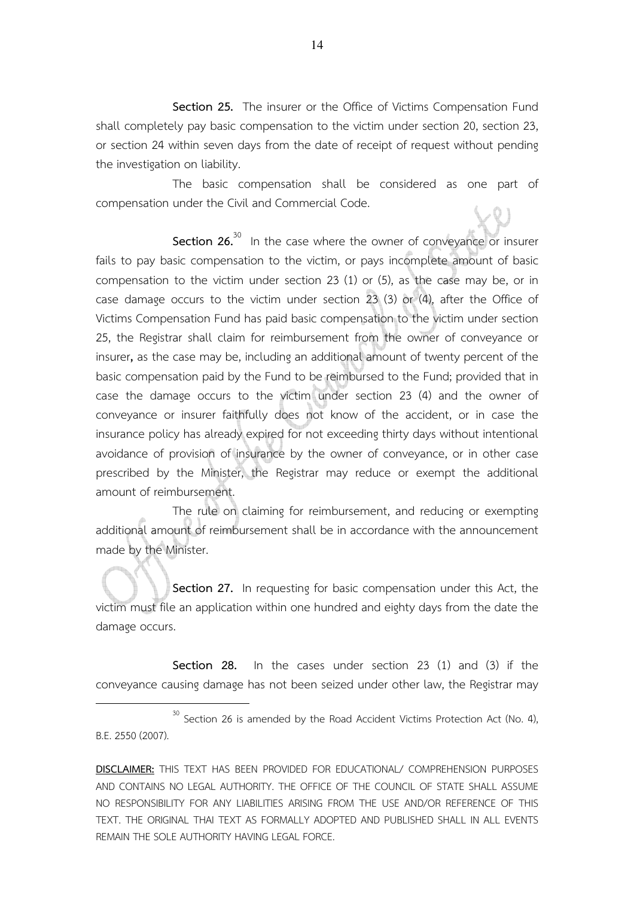**Section 25.** The insurer or the Office of Victims Compensation Fund shall completely pay basic compensation to the victim under section 20, section 23, or section 24 within seven days from the date of receipt of request without pending the investigation on liability.

The basic compensation shall be considered as one part of compensation under the Civil and Commercial Code.

**Section 26.**<sup>30</sup> In the case where the owner of conveyance or insurer fails to pay basic compensation to the victim, or pays incomplete amount of basic compensation to the victim under section 23 (1) or (5), as the case may be, or in case damage occurs to the victim under section 23 (3) or (4), after the Office of Victims Compensation Fund has paid basic compensation to the victim under section 25, the Registrar shall claim for reimbursement from the owner of conveyance or insurer**,** as the case may be, including an additional amount of twenty percent of the basic compensation paid by the Fund to be reimbursed to the Fund; provided that in case the damage occurs to the victim under section 23 (4) and the owner of conveyance or insurer faithfully does not know of the accident, or in case the insurance policy has already expired for not exceeding thirty days without intentional avoidance of provision of insurance by the owner of conveyance, or in other case prescribed by the Minister, the Registrar may reduce or exempt the additional amount of reimbursement.

 The rule on claiming for reimbursement, and reducing or exempting additional amount of reimbursement shall be in accordance with the announcement made by the Minister.

 **Section 27.** In requesting for basic compensation under this Act, the victim must file an application within one hundred and eighty days from the date the damage occurs.

 **Section 28.** In the cases under section 23 (1) and (3) if the conveyance causing damage has not been seized under other law, the Registrar may

 $30$  Section 26 is amended by the Road Accident Victims Protection Act (No. 4), B.E. 2550 (2007).

**DISCLAIMER:** THIS TEXT HAS BEEN PROVIDED FOR EDUCATIONAL/ COMPREHENSION PURPOSES AND CONTAINS NO LEGAL AUTHORITY. THE OFFICE OF THE COUNCIL OF STATE SHALL ASSUME NO RESPONSIBILITY FOR ANY LIABILITIES ARISING FROM THE USE AND/OR REFERENCE OF THIS TEXT. THE ORIGINAL THAI TEXT AS FORMALLY ADOPTED AND PUBLISHED SHALL IN ALL EVENTS REMAIN THE SOLE AUTHORITY HAVING LEGAL FORCE.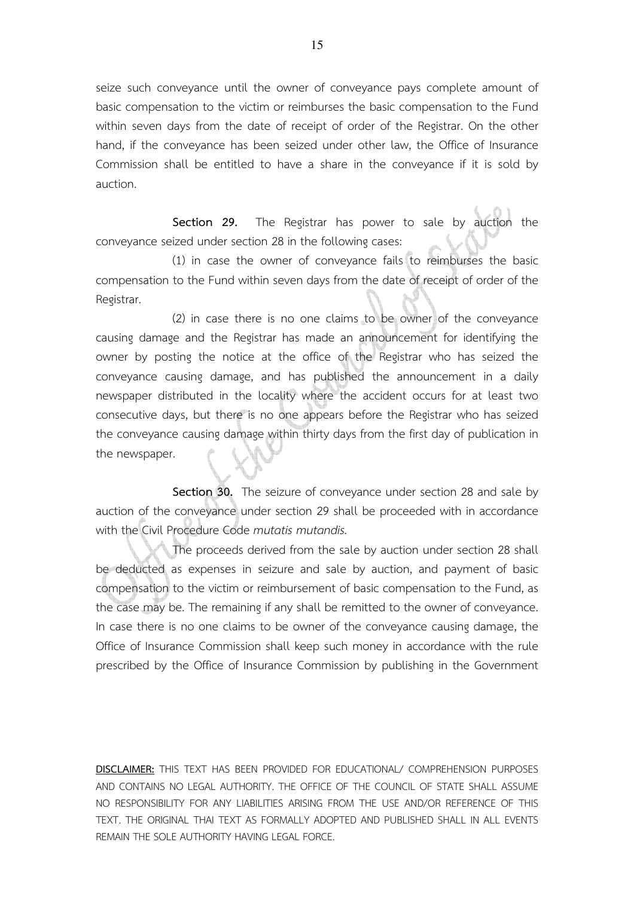seize such conveyance until the owner of conveyance pays complete amount of basic compensation to the victim or reimburses the basic compensation to the Fund within seven days from the date of receipt of order of the Registrar. On the other hand, if the conveyance has been seized under other law, the Office of Insurance Commission shall be entitled to have a share in the conveyance if it is sold by auction.

 **Section 29.** The Registrar has power to sale by auction the conveyance seized under section 28 in the following cases:

(1) in case the owner of conveyance fails to reimburses the basic compensation to the Fund within seven days from the date of receipt of order of the Registrar.

(2) in case there is no one claims to be owner of the conveyance causing damage and the Registrar has made an announcement for identifying the owner by posting the notice at the office of the Registrar who has seized the conveyance causing damage, and has published the announcement in a daily newspaper distributed in the locality where the accident occurs for at least two consecutive days, but there is no one appears before the Registrar who has seized the conveyance causing damage within thirty days from the first day of publication in the newspaper.

**Section 30.** The seizure of conveyance under section 28 and sale by auction of the conveyance under section 29 shall be proceeded with in accordance with the Civil Procedure Code *mutatis mutandis.*

 The proceeds derived from the sale by auction under section 28 shall be deducted as expenses in seizure and sale by auction, and payment of basic compensation to the victim or reimbursement of basic compensation to the Fund, as the case may be. The remaining if any shall be remitted to the owner of conveyance. In case there is no one claims to be owner of the conveyance causing damage, the Office of Insurance Commission shall keep such money in accordance with the rule prescribed by the Office of Insurance Commission by publishing in the Government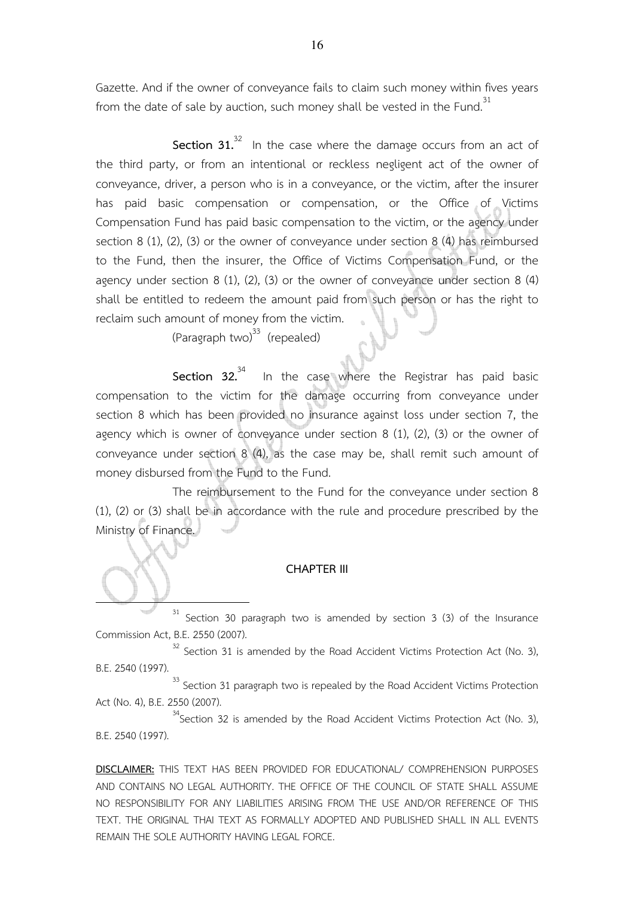Gazette. And if the owner of conveyance fails to claim such money within fives years from the date of sale by auction, such money shall be vested in the Fund.<sup>31</sup>

**Section 31.**<sup>32</sup> In the case where the damage occurs from an act of the third party, or from an intentional or reckless negligent act of the owner of conveyance, driver, a person who is in a conveyance, or the victim, after the insurer has paid basic compensation or compensation, or the Office of Victims Compensation Fund has paid basic compensation to the victim, or the agency under section 8 (1), (2), (3) or the owner of conveyance under section 8 (4) has reimbursed to the Fund, then the insurer, the Office of Victims Compensation Fund, or the agency under section 8 (1), (2), (3) or the owner of conveyance under section 8 (4) shall be entitled to redeem the amount paid from such person or has the right to reclaim such amount of money from the victim.

(Paragraph two) $^{33}$  (repealed)

l.

**Section 32.**<sup>34</sup> In the case where the Registrar has paid basic compensation to the victim for the damage occurring from conveyance under section 8 which has been provided no insurance against loss under section 7, the agency which is owner of conveyance under section 8 (1), (2), (3) or the owner of conveyance under section 8 (4), as the case may be, shall remit such amount of money disbursed from the Fund to the Fund.

 The reimbursement to the Fund for the conveyance under section 8 (1), (2) or (3) shall be in accordance with the rule and procedure prescribed by the Ministry of Finance.

#### **CHAPTER III**

 $31$  Section 30 paragraph two is amended by section 3 (3) of the Insurance Commission Act, B.E. 2550 (2007).

 $32$  Section 31 is amended by the Road Accident Victims Protection Act (No. 3), B.E. 2540 (1997).

<sup>33</sup> Section 31 paragraph two is repealed by the Road Accident Victims Protection Act (No. 4), B.E. 2550 (2007).

 $34$  Section 32 is amended by the Road Accident Victims Protection Act (No. 3), B.E. 2540 (1997).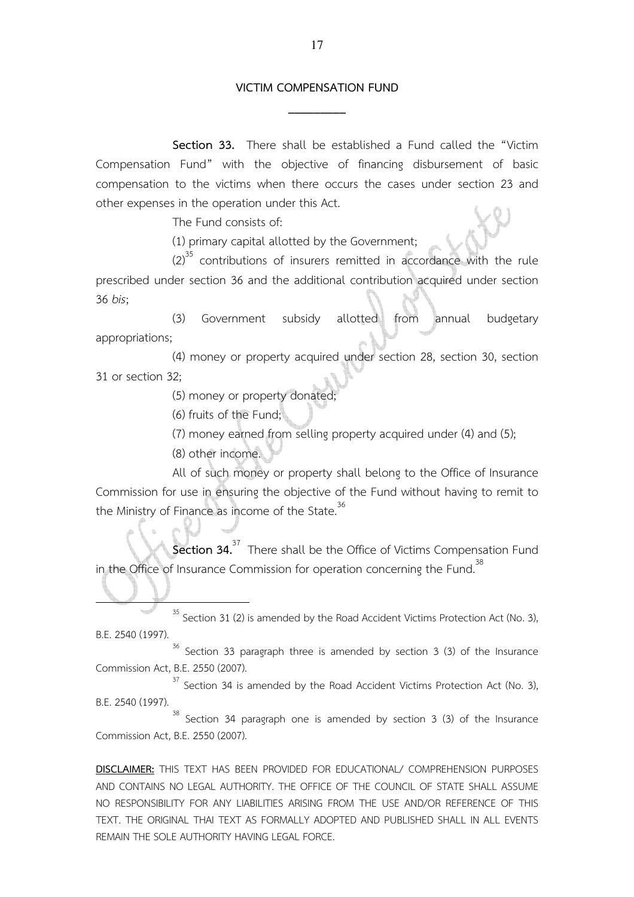## **VICTIM COMPENSATION FUND \_\_\_\_\_\_\_\_\_**

 **Section 33.** There shall be established a Fund called the "Victim Compensation Fund" with the objective of financing disbursement of basic compensation to the victims when there occurs the cases under section 23 and other expenses in the operation under this Act.

The Fund consists of:

(1) primary capital allotted by the Government;

 $(2)^{35}$  contributions of insurers remitted in accordance with the rule prescribed under section 36 and the additional contribution acquired under section 36 *bis*;

(3) Government subsidy allotted from annual budgetary appropriations;

(4) money or property acquired under section 28, section 30, section 31 or section 32;

(5) money or property donated;

(6) fruits of the Fund;

(7) money earned from selling property acquired under (4) and (5);

(8) other income.

ľ

l.

 All of such money or property shall belong to the Office of Insurance Commission for use in ensuring the objective of the Fund without having to remit to the Ministry of Finance as income of the State.<sup>36</sup>

**Section 34.**<sup>37</sup> There shall be the Office of Victims Compensation Fund in the Office of Insurance Commission for operation concerning the Fund.<sup>38</sup>

 $35$  Section 31 (2) is amended by the Road Accident Victims Protection Act (No. 3), B.E. 2540 (1997).

 $36$  Section 33 paragraph three is amended by section 3 (3) of the Insurance Commission Act, B.E. 2550 (2007).

 $37$  Section 34 is amended by the Road Accident Victims Protection Act (No. 3), B.E. 2540 (1997).

 $38$  Section 34 paragraph one is amended by section 3 (3) of the Insurance Commission Act, B.E. 2550 (2007).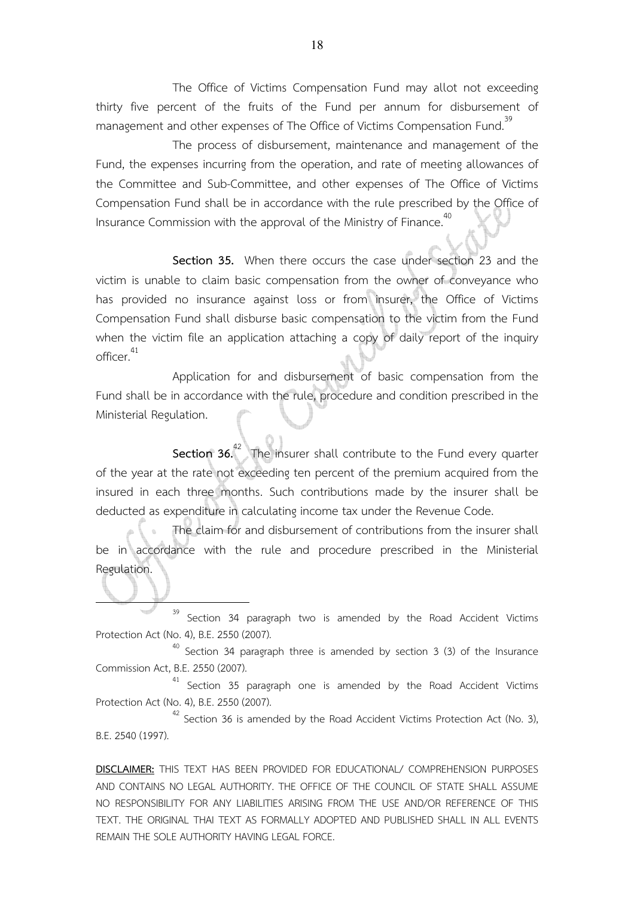The Office of Victims Compensation Fund may allot not exceeding thirty five percent of the fruits of the Fund per annum for disbursement of management and other expenses of The Office of Victims Compensation Fund.<sup>39</sup>

 The process of disbursement, maintenance and management of the Fund, the expenses incurring from the operation, and rate of meeting allowances of the Committee and Sub-Committee, and other expenses of The Office of Victims Compensation Fund shall be in accordance with the rule prescribed by the Office of Insurance Commission with the approval of the Ministry of Finance.<sup>40</sup>

 **Section 35.** When there occurs the case under section 23 and the victim is unable to claim basic compensation from the owner of conveyance who has provided no insurance against loss or from insurer, the Office of Victims Compensation Fund shall disburse basic compensation to the victim from the Fund when the victim file an application attaching a copy of daily report of the inquiry officer. $^{41}$ 

 Application for and disbursement of basic compensation from the Fund shall be in accordance with the rule, procedure and condition prescribed in the Ministerial Regulation.

**Section 36.**<sup>42</sup> The insurer shall contribute to the Fund every quarter of the year at the rate not exceeding ten percent of the premium acquired from the insured in each three months. Such contributions made by the insurer shall be deducted as expenditure in calculating income tax under the Revenue Code.

 The claim for and disbursement of contributions from the insurer shall be in accordance with the rule and procedure prescribed in the Ministerial Regulation.

 $39$  Section 34 paragraph two is amended by the Road Accident Victims Protection Act (No. 4), B.E. 2550 (2007).

l.

 $40$  Section 34 paragraph three is amended by section 3 (3) of the Insurance Commission Act, B.E. 2550 (2007).

<sup>41</sup> Section 35 paragraph one is amended by the Road Accident Victims Protection Act (No. 4), B.E. 2550 (2007).

 $42$  Section 36 is amended by the Road Accident Victims Protection Act (No. 3), B.E. 2540 (1997).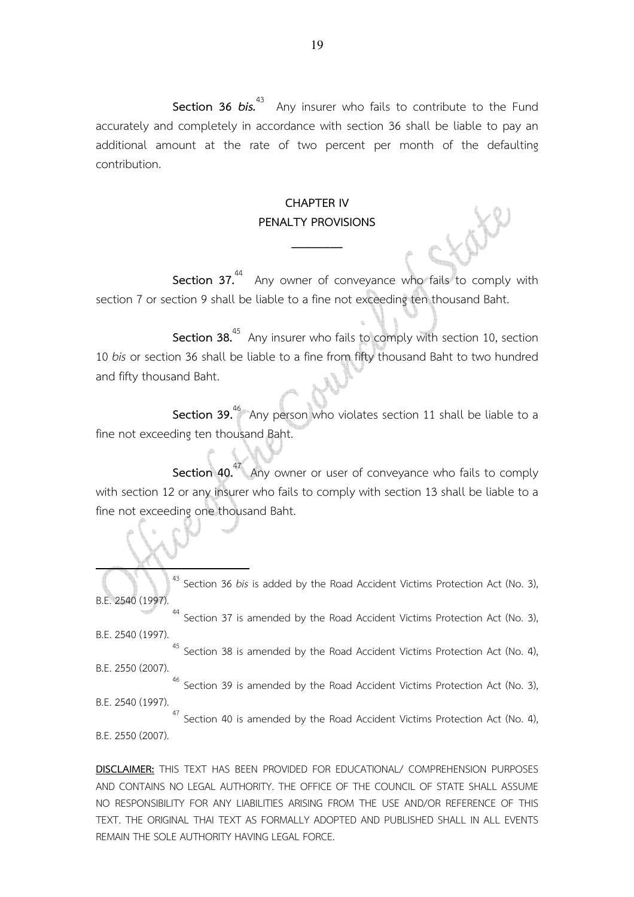**Section 36** *bis.*<sup>43</sup> Any insurer who fails to contribute to the Fund accurately and completely in accordance with section 36 shall be liable to pay an additional amount at the rate of two percent per month of the defaulting contribution.

### **CHAPTER IV PENALTY PROVISIONS**

**\_\_\_\_\_\_\_\_** 

**Section 37.**<sup>44</sup> Any owner of conveyance who fails to comply with section 7 or section 9 shall be liable to a fine not exceeding ten thousand Baht.

**Section 38.**<sup>45</sup> Any insurer who fails to comply with section 10, section 10 *bis* or section 36 shall be liable to a fine from fifty thousand Baht to two hundred and fifty thousand Baht.

**Section 39.**<sup>46</sup> Any person who violates section 11 shall be liable to a fine not exceeding ten thousand Baht.

**Section 40.**<sup>47</sup> Any owner or user of conveyance who fails to comply with section 12 or any insurer who fails to comply with section 13 shall be liable to a fine not exceeding one thousand Baht.

<sup>43</sup> Section 36 *bis* is added by the Road Accident Victims Protection Act (No. 3), B.E. 2540 (1997).

<sup>44</sup> Section 37 is amended by the Road Accident Victims Protection Act (No. 3), B.E. 2540 (1997)

l.

<sup>45</sup> Section 38 is amended by the Road Accident Victims Protection Act (No. 4), B.E. 2550 (2007)

<sup>46</sup> Section 39 is amended by the Road Accident Victims Protection Act (No. 3). B.E. 2540 (1997).

 $47$  Section 40 is amended by the Road Accident Victims Protection Act (No. 4), B.E. 2550 (2007).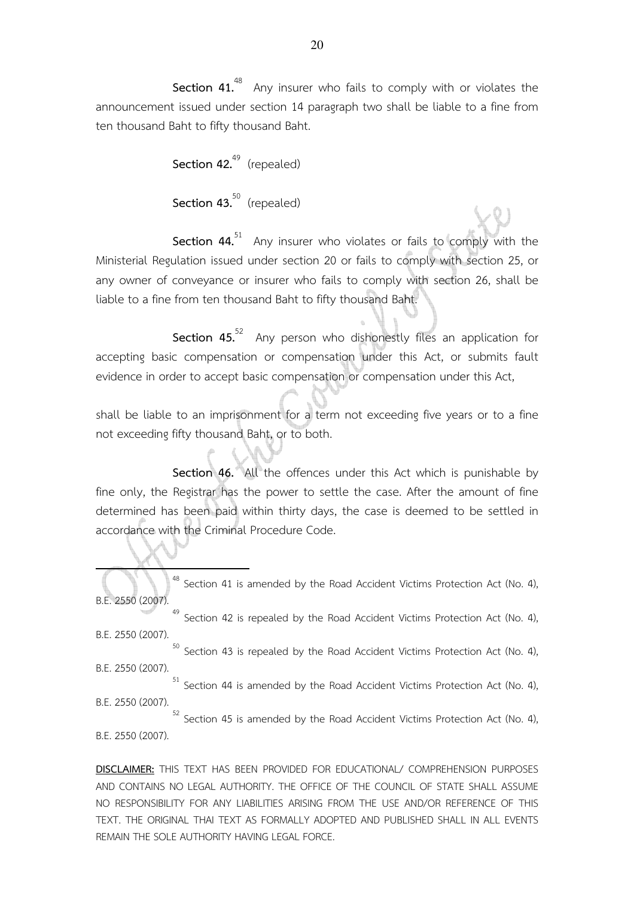**Section 41.**<sup>48</sup> Any insurer who fails to comply with or violates the announcement issued under section 14 paragraph two shall be liable to a fine from ten thousand Baht to fifty thousand Baht.

> Section 42.<sup>49</sup> (repealed) Section 43.<sup>50</sup> (repealed)

l.

Section 44.<sup>51</sup> Any insurer who violates or fails to comply with the Ministerial Regulation issued under section 20 or fails to comply with section 25, or any owner of conveyance or insurer who fails to comply with section 26, shall be liable to a fine from ten thousand Baht to fifty thousand Baht.

**Section 45.**<sup>52</sup> Any person who dishonestly files an application for accepting basic compensation or compensation under this Act, or submits fault evidence in order to accept basic compensation or compensation under this Act,

shall be liable to an imprisonment for a term not exceeding five years or to a fine not exceeding fifty thousand Baht, or to both.

**Section 46.** All the offences under this Act which is punishable by fine only, the Registrar has the power to settle the case. After the amount of fine determined has been paid within thirty days, the case is deemed to be settled in accordance with the Criminal Procedure Code.

<sup>48</sup> Section 41 is amended by the Road Accident Victims Protection Act (No. 4), B.E. 2550 (2007).

<sup>49</sup> Section 42 is repealed by the Road Accident Victims Protection Act (No. 4), B.E. 2550 (2007).

 $50$  Section 43 is repealed by the Road Accident Victims Protection Act (No. 4), B.E. 2550 (2007).

 $51$  Section 44 is amended by the Road Accident Victims Protection Act (No. 4), B.E. 2550 (2007).

 $52$  Section 45 is amended by the Road Accident Victims Protection Act (No. 4), B.E. 2550 (2007).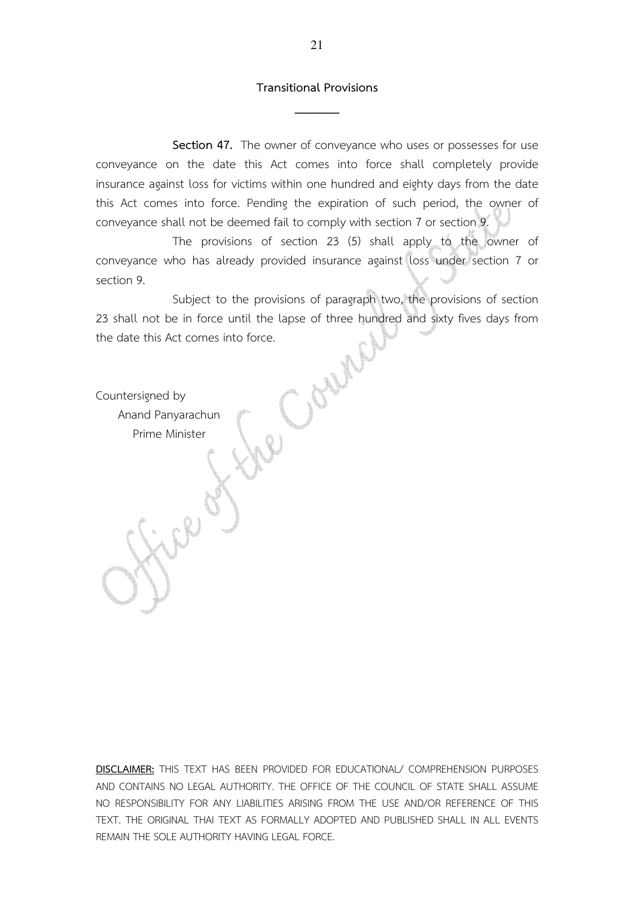## **Transitional Provisions \_\_\_\_\_\_\_**

 **Section 47.** The owner of conveyance who uses or possesses for use conveyance on the date this Act comes into force shall completely provide insurance against loss for victims within one hundred and eighty days from the date this Act comes into force. Pending the expiration of such period, the owner of conveyance shall not be deemed fail to comply with section 7 or section 9.

 The provisions of section 23 (5) shall apply to the owner of conveyance who has already provided insurance against loss under section 7 or section 9.

 Subject to the provisions of paragraph two, the provisions of section 23 shall not be in force until the lapse of three hundred and sixty fives days from the date this Act comes into force.

Coun

Countersigned by Anand Panyarachun Prime Minister